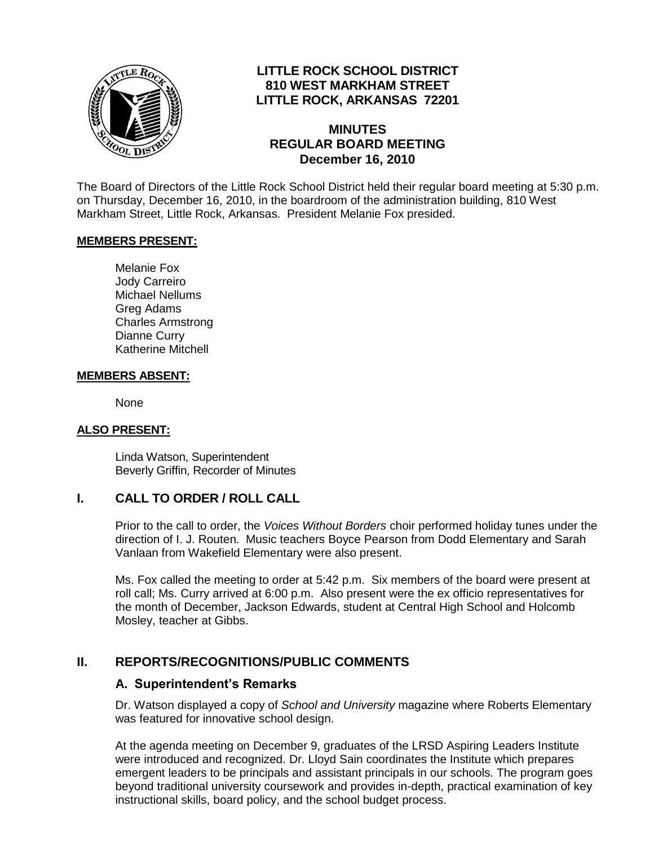

## **LITTLE ROCK SCHOOL DISTRICT 810 WEST MARKHAM STREET LITTLE ROCK, ARKANSAS 72201**

### **MINUTES REGULAR BOARD MEETING December 16, 2010**

The Board of Directors of the Little Rock School District held their regular board meeting at 5:30 p.m. on Thursday, December 16, 2010, in the boardroom of the administration building, 810 West Markham Street, Little Rock, Arkansas. President Melanie Fox presided.

#### **MEMBERS PRESENT:**

Melanie Fox Jody Carreiro Michael Nellums Greg Adams Charles Armstrong Dianne Curry Katherine Mitchell

#### **MEMBERS ABSENT:**

None

#### **ALSO PRESENT:**

Linda Watson, Superintendent Beverly Griffin, Recorder of Minutes

#### **I. CALL TO ORDER / ROLL CALL**

Prior to the call to order, the *Voices Without Borders* choir performed holiday tunes under the direction of I. J. Routen. Music teachers Boyce Pearson from Dodd Elementary and Sarah Vanlaan from Wakefield Elementary were also present.

Ms. Fox called the meeting to order at 5:42 p.m. Six members of the board were present at roll call; Ms. Curry arrived at 6:00 p.m. Also present were the ex officio representatives for the month of December, Jackson Edwards, student at Central High School and Holcomb Mosley, teacher at Gibbs.

### **II. REPORTS/RECOGNITIONS/PUBLIC COMMENTS**

#### **A. Superintendent's Remarks**

Dr. Watson displayed a copy of *School and University* magazine where Roberts Elementary was featured for innovative school design.

At the agenda meeting on December 9, graduates of the LRSD Aspiring Leaders Institute were introduced and recognized. Dr. Lloyd Sain coordinates the Institute which prepares emergent leaders to be principals and assistant principals in our schools. The program goes beyond traditional university coursework and provides in-depth, practical examination of key instructional skills, board policy, and the school budget process.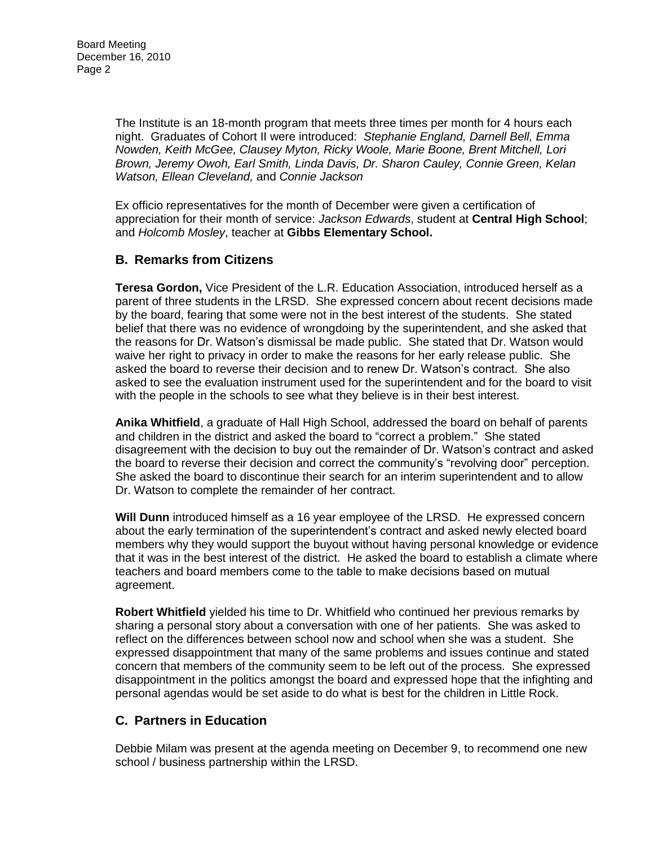The Institute is an 18-month program that meets three times per month for 4 hours each night. Graduates of Cohort II were introduced: *Stephanie England, Darnell Bell, Emma Nowden, Keith McGee, Clausey Myton, Ricky Woole, Marie Boone, Brent Mitchell, Lori Brown, Jeremy Owoh, Earl Smith, Linda Davis, Dr. Sharon Cauley, Connie Green, Kelan Watson, Ellean Cleveland,* and *Connie Jackson*

Ex officio representatives for the month of December were given a certification of appreciation for their month of service: *Jackson Edwards*, student at **Central High School**; and *Holcomb Mosley*, teacher at **Gibbs Elementary School.** 

## **B. Remarks from Citizens**

**Teresa Gordon,** Vice President of the L.R. Education Association, introduced herself as a parent of three students in the LRSD. She expressed concern about recent decisions made by the board, fearing that some were not in the best interest of the students. She stated belief that there was no evidence of wrongdoing by the superintendent, and she asked that the reasons for Dr. Watson's dismissal be made public. She stated that Dr. Watson would waive her right to privacy in order to make the reasons for her early release public. She asked the board to reverse their decision and to renew Dr. Watson's contract. She also asked to see the evaluation instrument used for the superintendent and for the board to visit with the people in the schools to see what they believe is in their best interest.

**Anika Whitfield**, a graduate of Hall High School, addressed the board on behalf of parents and children in the district and asked the board to "correct a problem." She stated disagreement with the decision to buy out the remainder of Dr. Watson's contract and asked the board to reverse their decision and correct the community's "revolving door" perception. She asked the board to discontinue their search for an interim superintendent and to allow Dr. Watson to complete the remainder of her contract.

**Will Dunn** introduced himself as a 16 year employee of the LRSD. He expressed concern about the early termination of the superintendent's contract and asked newly elected board members why they would support the buyout without having personal knowledge or evidence that it was in the best interest of the district. He asked the board to establish a climate where teachers and board members come to the table to make decisions based on mutual agreement.

**Robert Whitfield** yielded his time to Dr. Whitfield who continued her previous remarks by sharing a personal story about a conversation with one of her patients. She was asked to reflect on the differences between school now and school when she was a student. She expressed disappointment that many of the same problems and issues continue and stated concern that members of the community seem to be left out of the process. She expressed disappointment in the politics amongst the board and expressed hope that the infighting and personal agendas would be set aside to do what is best for the children in Little Rock.

# **C. Partners in Education**

Debbie Milam was present at the agenda meeting on December 9, to recommend one new school / business partnership within the LRSD.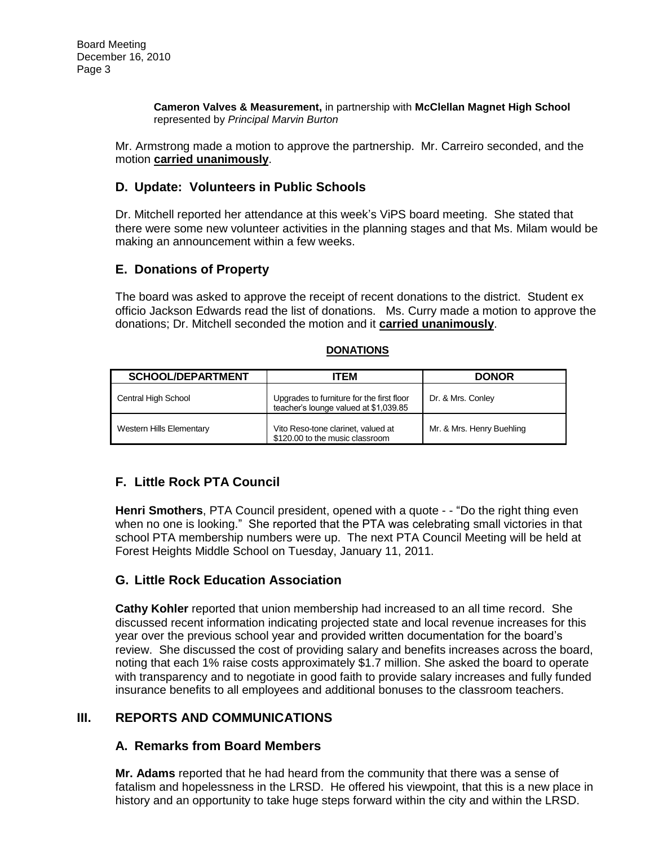**Cameron Valves & Measurement,** in partnership with **McClellan Magnet High School** represented by *Principal Marvin Burton*

Mr. Armstrong made a motion to approve the partnership. Mr. Carreiro seconded, and the motion **carried unanimously**.

### **D. Update: Volunteers in Public Schools**

Dr. Mitchell reported her attendance at this week's ViPS board meeting. She stated that there were some new volunteer activities in the planning stages and that Ms. Milam would be making an announcement within a few weeks.

### **E. Donations of Property**

The board was asked to approve the receipt of recent donations to the district. Student ex officio Jackson Edwards read the list of donations. Ms. Curry made a motion to approve the donations; Dr. Mitchell seconded the motion and it **carried unanimously**.

#### **DONATIONS**

| <b>SCHOOL/DEPARTMENT</b>        | <b>TEM</b>                                                                         | <b>DONOR</b>              |
|---------------------------------|------------------------------------------------------------------------------------|---------------------------|
| Central High School             | Upgrades to furniture for the first floor<br>teacher's lounge valued at \$1,039.85 | Dr. & Mrs. Conley         |
| <b>Western Hills Elementary</b> | Vito Reso-tone clarinet, valued at<br>\$120.00 to the music classroom              | Mr. & Mrs. Henry Buehling |

# **F. Little Rock PTA Council**

**Henri Smothers**, PTA Council president, opened with a quote - - "Do the right thing even when no one is looking." She reported that the PTA was celebrating small victories in that school PTA membership numbers were up. The next PTA Council Meeting will be held at Forest Heights Middle School on Tuesday, January 11, 2011.

### **G. Little Rock Education Association**

**Cathy Kohler** reported that union membership had increased to an all time record. She discussed recent information indicating projected state and local revenue increases for this year over the previous school year and provided written documentation for the board's review. She discussed the cost of providing salary and benefits increases across the board, noting that each 1% raise costs approximately \$1.7 million. She asked the board to operate with transparency and to negotiate in good faith to provide salary increases and fully funded insurance benefits to all employees and additional bonuses to the classroom teachers.

### **III. REPORTS AND COMMUNICATIONS**

#### **A. Remarks from Board Members**

**Mr. Adams** reported that he had heard from the community that there was a sense of fatalism and hopelessness in the LRSD. He offered his viewpoint, that this is a new place in history and an opportunity to take huge steps forward within the city and within the LRSD.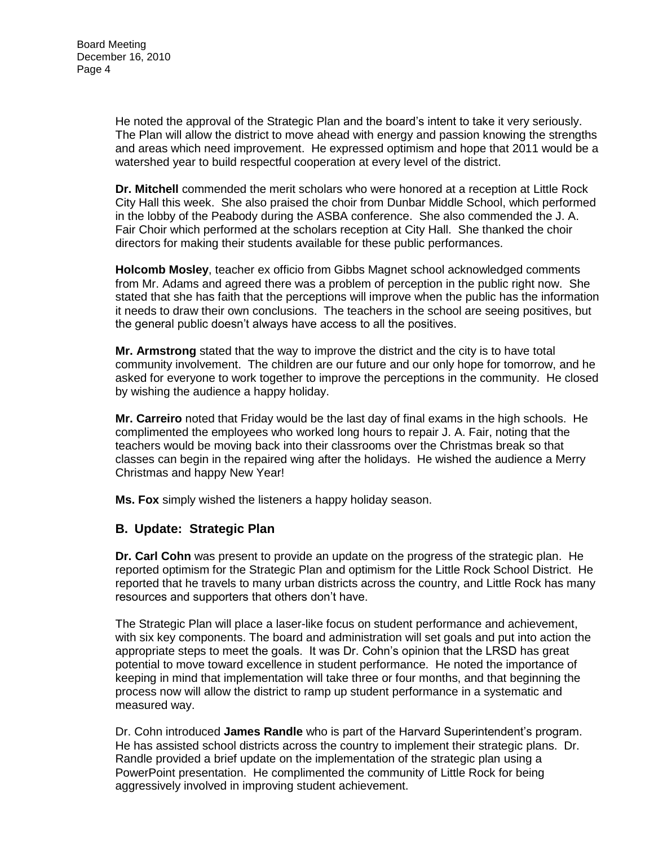He noted the approval of the Strategic Plan and the board's intent to take it very seriously. The Plan will allow the district to move ahead with energy and passion knowing the strengths and areas which need improvement. He expressed optimism and hope that 2011 would be a watershed year to build respectful cooperation at every level of the district.

**Dr. Mitchell** commended the merit scholars who were honored at a reception at Little Rock City Hall this week. She also praised the choir from Dunbar Middle School, which performed in the lobby of the Peabody during the ASBA conference. She also commended the J. A. Fair Choir which performed at the scholars reception at City Hall. She thanked the choir directors for making their students available for these public performances.

**Holcomb Mosley**, teacher ex officio from Gibbs Magnet school acknowledged comments from Mr. Adams and agreed there was a problem of perception in the public right now. She stated that she has faith that the perceptions will improve when the public has the information it needs to draw their own conclusions. The teachers in the school are seeing positives, but the general public doesn't always have access to all the positives.

**Mr. Armstrong** stated that the way to improve the district and the city is to have total community involvement. The children are our future and our only hope for tomorrow, and he asked for everyone to work together to improve the perceptions in the community. He closed by wishing the audience a happy holiday.

**Mr. Carreiro** noted that Friday would be the last day of final exams in the high schools. He complimented the employees who worked long hours to repair J. A. Fair, noting that the teachers would be moving back into their classrooms over the Christmas break so that classes can begin in the repaired wing after the holidays. He wished the audience a Merry Christmas and happy New Year!

**Ms. Fox** simply wished the listeners a happy holiday season.

### **B. Update: Strategic Plan**

**Dr. Carl Cohn** was present to provide an update on the progress of the strategic plan. He reported optimism for the Strategic Plan and optimism for the Little Rock School District. He reported that he travels to many urban districts across the country, and Little Rock has many resources and supporters that others don't have.

The Strategic Plan will place a laser-like focus on student performance and achievement, with six key components. The board and administration will set goals and put into action the appropriate steps to meet the goals. It was Dr. Cohn's opinion that the LRSD has great potential to move toward excellence in student performance. He noted the importance of keeping in mind that implementation will take three or four months, and that beginning the process now will allow the district to ramp up student performance in a systematic and measured way.

Dr. Cohn introduced **James Randle** who is part of the Harvard Superintendent's program. He has assisted school districts across the country to implement their strategic plans. Dr. Randle provided a brief update on the implementation of the strategic plan using a PowerPoint presentation. He complimented the community of Little Rock for being aggressively involved in improving student achievement.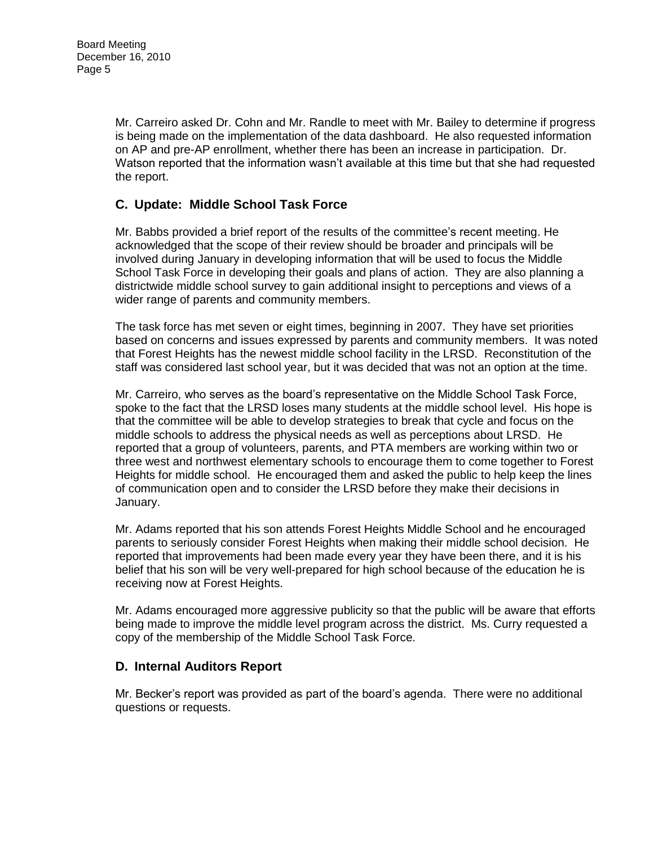Mr. Carreiro asked Dr. Cohn and Mr. Randle to meet with Mr. Bailey to determine if progress is being made on the implementation of the data dashboard. He also requested information on AP and pre-AP enrollment, whether there has been an increase in participation. Dr. Watson reported that the information wasn't available at this time but that she had requested the report.

# **C. Update: Middle School Task Force**

Mr. Babbs provided a brief report of the results of the committee's recent meeting. He acknowledged that the scope of their review should be broader and principals will be involved during January in developing information that will be used to focus the Middle School Task Force in developing their goals and plans of action. They are also planning a districtwide middle school survey to gain additional insight to perceptions and views of a wider range of parents and community members.

The task force has met seven or eight times, beginning in 2007. They have set priorities based on concerns and issues expressed by parents and community members. It was noted that Forest Heights has the newest middle school facility in the LRSD. Reconstitution of the staff was considered last school year, but it was decided that was not an option at the time.

Mr. Carreiro, who serves as the board's representative on the Middle School Task Force, spoke to the fact that the LRSD loses many students at the middle school level. His hope is that the committee will be able to develop strategies to break that cycle and focus on the middle schools to address the physical needs as well as perceptions about LRSD. He reported that a group of volunteers, parents, and PTA members are working within two or three west and northwest elementary schools to encourage them to come together to Forest Heights for middle school. He encouraged them and asked the public to help keep the lines of communication open and to consider the LRSD before they make their decisions in January.

Mr. Adams reported that his son attends Forest Heights Middle School and he encouraged parents to seriously consider Forest Heights when making their middle school decision. He reported that improvements had been made every year they have been there, and it is his belief that his son will be very well-prepared for high school because of the education he is receiving now at Forest Heights.

Mr. Adams encouraged more aggressive publicity so that the public will be aware that efforts being made to improve the middle level program across the district. Ms. Curry requested a copy of the membership of the Middle School Task Force.

### **D. Internal Auditors Report**

Mr. Becker's report was provided as part of the board's agenda. There were no additional questions or requests.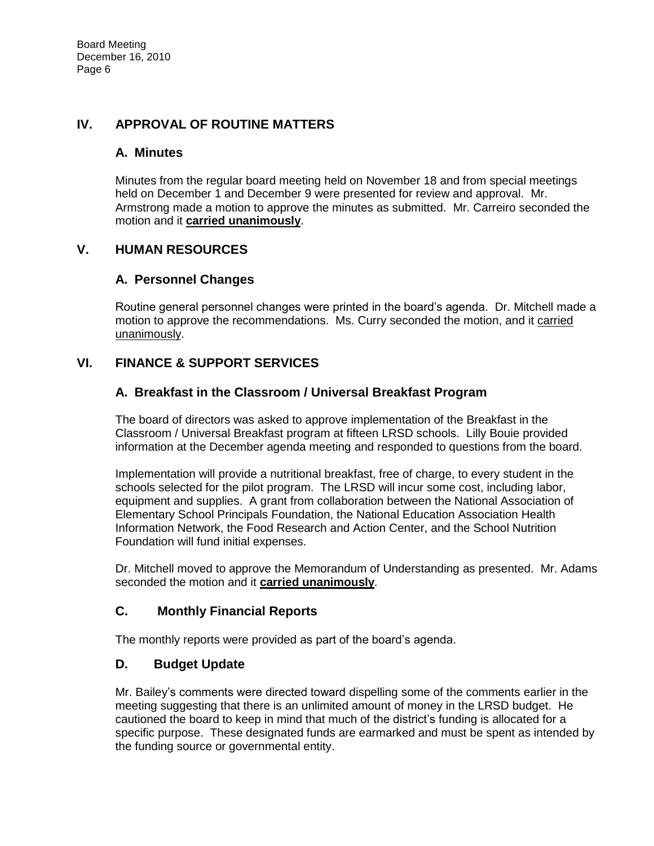### **IV. APPROVAL OF ROUTINE MATTERS**

### **A. Minutes**

Minutes from the regular board meeting held on November 18 and from special meetings held on December 1 and December 9 were presented for review and approval. Mr. Armstrong made a motion to approve the minutes as submitted. Mr. Carreiro seconded the motion and it **carried unanimously**.

## **V. HUMAN RESOURCES**

## **A. Personnel Changes**

Routine general personnel changes were printed in the board's agenda. Dr. Mitchell made a motion to approve the recommendations. Ms. Curry seconded the motion, and it carried unanimously.

# **VI. FINANCE & SUPPORT SERVICES**

## **A. Breakfast in the Classroom / Universal Breakfast Program**

The board of directors was asked to approve implementation of the Breakfast in the Classroom / Universal Breakfast program at fifteen LRSD schools. Lilly Bouie provided information at the December agenda meeting and responded to questions from the board.

Implementation will provide a nutritional breakfast, free of charge, to every student in the schools selected for the pilot program. The LRSD will incur some cost, including labor, equipment and supplies. A grant from collaboration between the National Association of Elementary School Principals Foundation, the National Education Association Health Information Network, the Food Research and Action Center, and the School Nutrition Foundation will fund initial expenses.

Dr. Mitchell moved to approve the Memorandum of Understanding as presented. Mr. Adams seconded the motion and it **carried unanimously**.

### **C. Monthly Financial Reports**

The monthly reports were provided as part of the board's agenda.

### **D. Budget Update**

Mr. Bailey's comments were directed toward dispelling some of the comments earlier in the meeting suggesting that there is an unlimited amount of money in the LRSD budget. He cautioned the board to keep in mind that much of the district's funding is allocated for a specific purpose. These designated funds are earmarked and must be spent as intended by the funding source or governmental entity.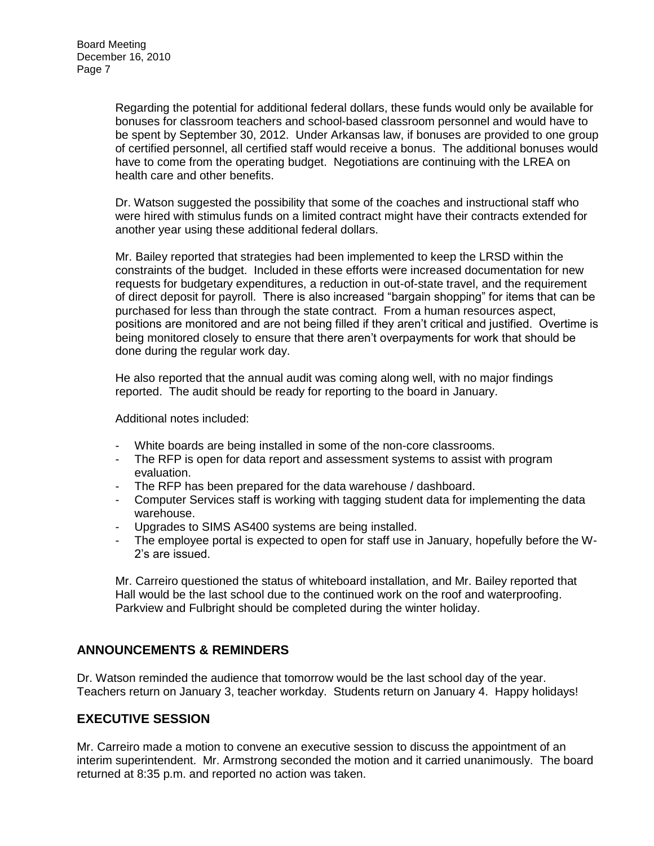Regarding the potential for additional federal dollars, these funds would only be available for bonuses for classroom teachers and school-based classroom personnel and would have to be spent by September 30, 2012. Under Arkansas law, if bonuses are provided to one group of certified personnel, all certified staff would receive a bonus. The additional bonuses would have to come from the operating budget. Negotiations are continuing with the LREA on health care and other benefits.

Dr. Watson suggested the possibility that some of the coaches and instructional staff who were hired with stimulus funds on a limited contract might have their contracts extended for another year using these additional federal dollars.

Mr. Bailey reported that strategies had been implemented to keep the LRSD within the constraints of the budget. Included in these efforts were increased documentation for new requests for budgetary expenditures, a reduction in out-of-state travel, and the requirement of direct deposit for payroll. There is also increased "bargain shopping" for items that can be purchased for less than through the state contract. From a human resources aspect, positions are monitored and are not being filled if they aren't critical and justified. Overtime is being monitored closely to ensure that there aren't overpayments for work that should be done during the regular work day.

He also reported that the annual audit was coming along well, with no major findings reported. The audit should be ready for reporting to the board in January.

Additional notes included:

- White boards are being installed in some of the non-core classrooms.
- The RFP is open for data report and assessment systems to assist with program evaluation.
- The RFP has been prepared for the data warehouse / dashboard.
- Computer Services staff is working with tagging student data for implementing the data warehouse.
- Upgrades to SIMS AS400 systems are being installed.
- The employee portal is expected to open for staff use in January, hopefully before the W-2's are issued.

Mr. Carreiro questioned the status of whiteboard installation, and Mr. Bailey reported that Hall would be the last school due to the continued work on the roof and waterproofing. Parkview and Fulbright should be completed during the winter holiday.

### **ANNOUNCEMENTS & REMINDERS**

Dr. Watson reminded the audience that tomorrow would be the last school day of the year. Teachers return on January 3, teacher workday. Students return on January 4. Happy holidays!

### **EXECUTIVE SESSION**

Mr. Carreiro made a motion to convene an executive session to discuss the appointment of an interim superintendent. Mr. Armstrong seconded the motion and it carried unanimously. The board returned at 8:35 p.m. and reported no action was taken.